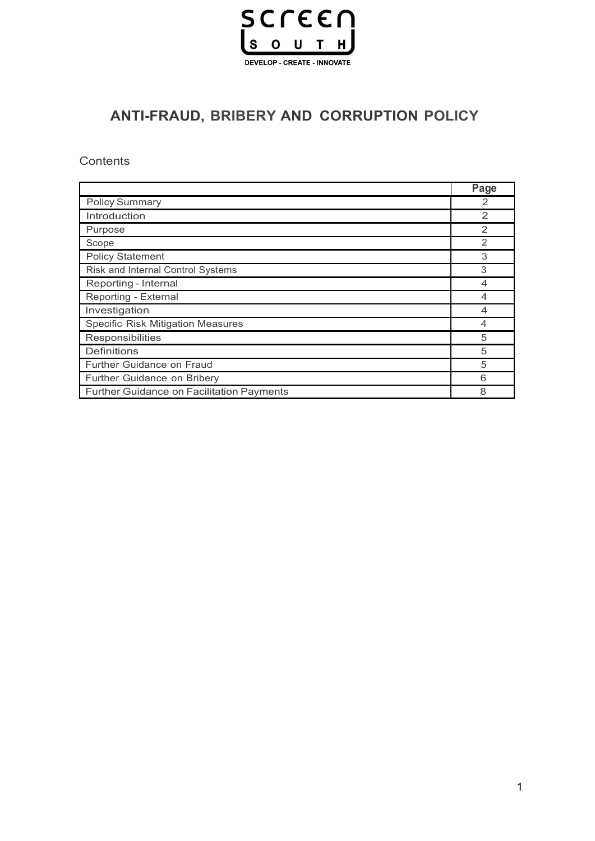

# **ANTI-FRAUD, BRIBERY AND CORRUPTION POLICY**

**Contents** 

|                                           | Page           |
|-------------------------------------------|----------------|
| <b>Policy Summary</b>                     | 2              |
| Introduction                              | $\mathfrak{p}$ |
| Purpose                                   | $\mathcal{P}$  |
| Scope                                     | 2              |
| <b>Policy Statement</b>                   | 3              |
| Risk and Internal Control Systems         | 3              |
| Reporting - Internal                      | 4              |
| Reporting - External                      |                |
| Investigation                             | 4              |
| <b>Specific Risk Mitigation Measures</b>  | 4              |
| Responsibilities                          | 5              |
| <b>Definitions</b>                        | 5              |
| <b>Further Guidance on Fraud</b>          | 5              |
| Further Guidance on Bribery               | 6              |
| Further Guidance on Facilitation Payments | 8              |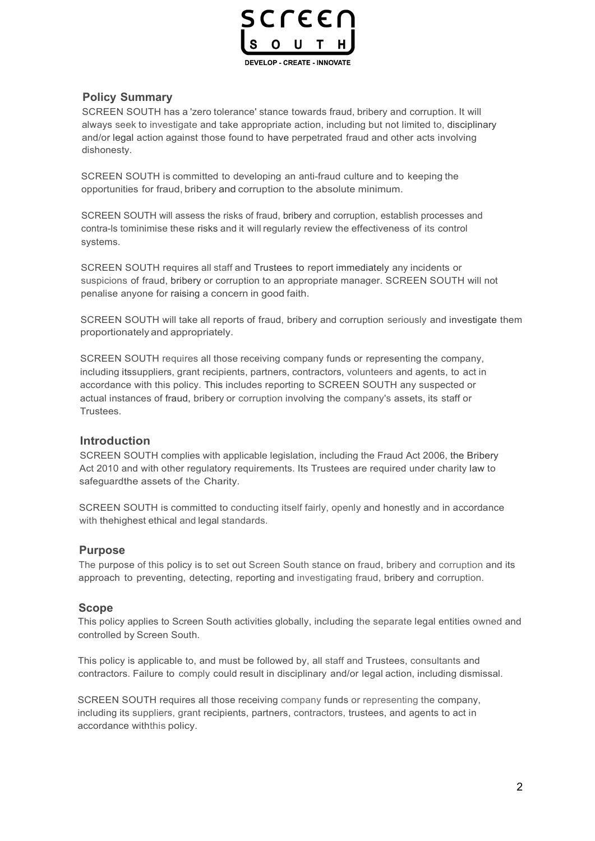

### **Policy Summary**

SCREEN SOUTH has a 'zero tolerance' stance towards fraud, bribery and corruption. It will always seek to investigate and take appropriate action, including but not limited to, disciplinary and/or legal action against those found to have perpetrated fraud and other acts involving dishonesty.

SCREEN SOUTH is committed to developing an anti-fraud culture and to keeping the opportunities for fraud, bribery and corruption to the absolute minimum.

SCREEN SOUTH will assess the risks of fraud, bribery and corruption, establish processes and contra-ls tominimise these risks and it will regularly review the effectiveness of its control systems.

SCREEN SOUTH requires all staff and Trustees to report immediately any incidents or suspicions of fraud, bribery or corruption to an appropriate manager. SCREEN SOUTH will not penalise anyone for raising a concern in good faith.

SCREEN SOUTH will take all reports of fraud, bribery and corruption seriously and investigate them proportionately and appropriately.

SCREEN SOUTH requires all those receiving company funds or representing the company, including itssuppliers, grant recipients, partners, contractors, volunteers and agents, to act in accordance with this policy. This includes reporting to SCREEN SOUTH any suspected or actual instances of fraud, bribery or corruption involving the company's assets, its staff or Trustees.

#### **Introduction**

SCREEN SOUTH complies with applicable legislation, including the Fraud Act 2006, the Bribery Act 2010 and with other regulatory requirements. Its Trustees are required under charity law to safeguardthe assets of the Charity.

SCREEN SOUTH is committed to conducting itself fairly, openly and honestly and in accordance with thehighest ethical and legal standards.

#### **Purpose**

The purpose of this policy is to set out Screen South stance on fraud, bribery and corruption and its approach to preventing, detecting, reporting and investigating fraud, bribery and corruption.

#### **Scope**

This policy applies to Screen South activities globally, including the separate legal entities owned and controlled by Screen South.

This policy is applicable to, and must be followed by, all staff and Trustees, consultants and contractors. Failure to comply could result in disciplinary and/or legal action, including dismissal.

SCREEN SOUTH requires all those receiving company funds or representing the company, including its suppliers, grant recipients, partners, contractors, trustees, and agents to act in accordance withthis policy.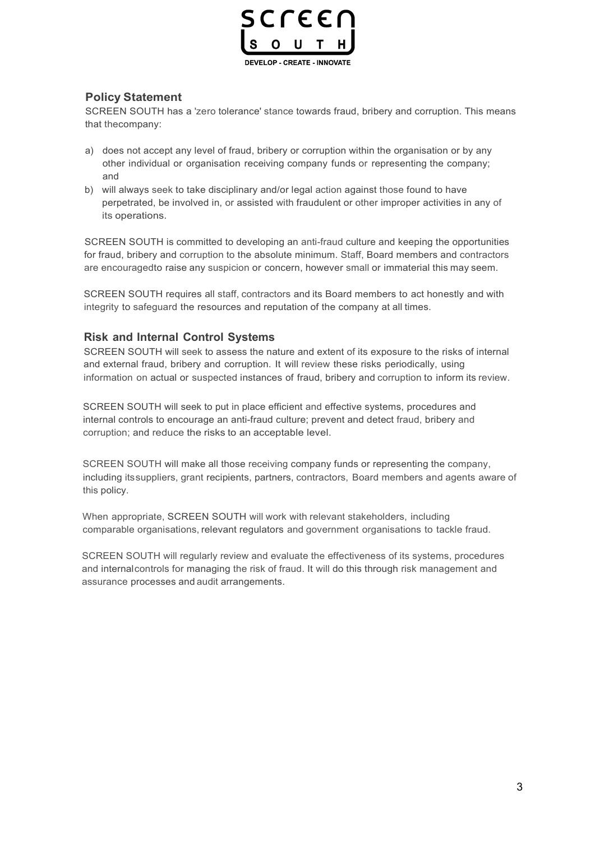

### **Policy Statement**

SCREEN SOUTH has a 'zero tolerance' stance towards fraud, bribery and corruption. This means that thecompany:

- a) does not accept any level of fraud, bribery or corruption within the organisation or by any other individual or organisation receiving company funds or representing the company; and
- b) will always seek to take disciplinary and/or legal action against those found to have perpetrated, be involved in, or assisted with fraudulent or other improper activities in any of its operations.

SCREEN SOUTH is committed to developing an anti-fraud culture and keeping the opportunities for fraud, bribery and corruption to the absolute minimum. Staff, Board members and contractors are encouragedto raise any suspicion or concern, however small or immaterial this may seem.

SCREEN SOUTH requires all staff, contractors and its Board members to act honestly and with integrity to safeguard the resources and reputation of the company at all times.

#### **Risk and Internal Control Systems**

SCREEN SOUTH will seek to assess the nature and extent of its exposure to the risks of internal and external fraud, bribery and corruption. It will review these risks periodically, using information on actual or suspected instances of fraud, bribery and corruption to inform its review.

SCREEN SOUTH will seek to put in place efficient and effective systems, procedures and internal controls to encourage an anti-fraud culture; prevent and detect fraud, bribery and corruption; and reduce the risks to an acceptable level.

SCREEN SOUTH will make all those receiving company funds or representing the company, including its suppliers, grant recipients, partners, contractors, Board members and agents aware of this policy.

When appropriate, SCREEN SOUTH will work with relevant stakeholders, including comparable organisations, relevant regulators and government organisations to tackle fraud.

SCREEN SOUTH will regularly review and evaluate the effectiveness of its systems, procedures and internal controls for managing the risk of fraud. It will do this through risk management and assurance processes and audit arrangements.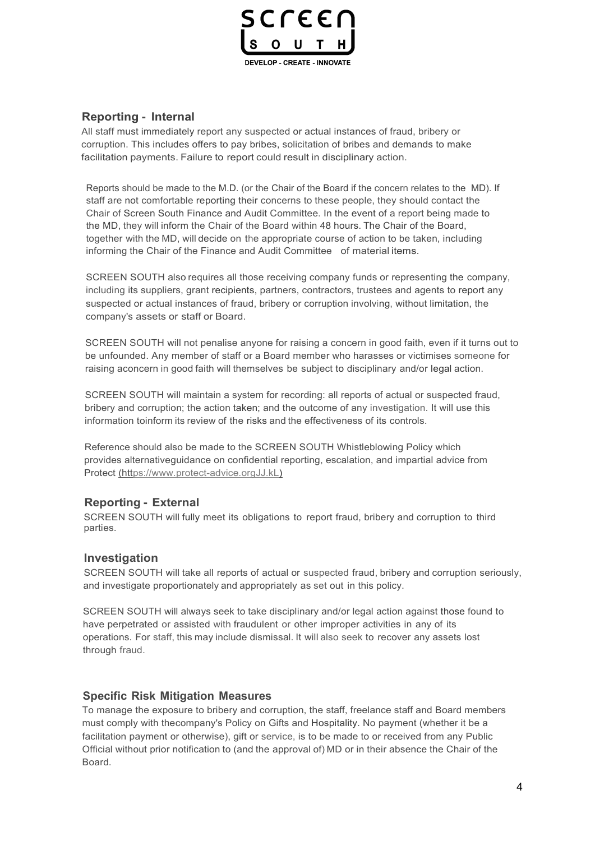

# **Reporting - Internal**

All staff must immediately report any suspected or actual instances of fraud, bribery or corruption. This includes offers to pay bribes, solicitation of bribes and demands to make facilitation payments. Failure to report could result in disciplinary action.

Reports should be made to the M.D. (or the Chair of the Board if the concern relates to the MD). If staff are not comfortable reporting their concerns to these people, they should contact the Chair of Screen South Finance and Audit Committee. In the event of a report being made to the MD, they will inform the Chair of the Board within 48 hours. The Chair of the Board, together with the MD, will decide on the appropriate course of action to be taken, including informing the Chair of the Finance and Audit Committee of material items.

SCREEN SOUTH also requires all those receiving company funds or representing the company, including its suppliers, grant recipients, partners, contractors, trustees and agents to report any suspected or actual instances of fraud, bribery or corruption involving, without limitation, the company's assets or staff or Board.

SCREEN SOUTH will not penalise anyone for raising a concern in good faith, even if it turns out to be unfounded. Any member of staff or a Board member who harasses or victimises someone for raising aconcern in good faith will themselves be subject to disciplinary and/or legal action.

SCREEN SOUTH will maintain a system for recording: all reports of actual or suspected fraud, bribery and corruption; the action taken; and the outcome of any investigation. It will use this information toinform its review of the risks and the effectiveness of its controls.

Reference should also be made to the SCREEN SOUTH Whistleblowing Policy which provides alternativeguidance on confidential reporting, escalation, and impartial advice from Protect (https://www.protect-advice.orgJJ.kL)

#### **Reporting - External**

SCREEN SOUTH will fully meet its obligations to report fraud, bribery and corruption to third parties.

#### **Investigation**

SCREEN SOUTH will take all reports of actual or suspected fraud, bribery and corruption seriously, and investigate proportionately and appropriately as set out in this policy.

SCREEN SOUTH will always seek to take disciplinary and/or legal action against those found to have perpetrated or assisted with fraudulent or other improper activities in any of its operations. For staff, this may include dismissal. It will also seek to recover any assets lost through fraud.

#### **Specific Risk Mitigation Measures**

To manage the exposure to bribery and corruption, the staff, freelance staff and Board members must comply with thecompany's Policy on Gifts and Hospitality. No payment (whether it be a facilitation payment or otherwise), gift or service, is to be made to or received from any Public Official without prior notification to (and the approval of) MD or in their absence the Chair of the Board.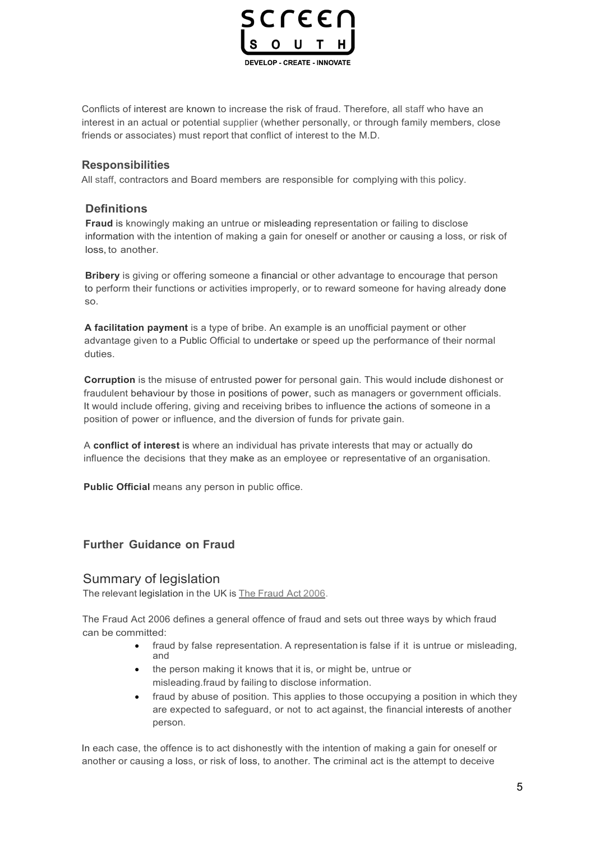

Conflicts of interest are known to increase the risk of fraud. Therefore, all staff who have an interest in an actual or potential supplier (whether personally, or through family members, close friends or associates) must report that conflict of interest to the M.D.

#### **Responsibilities**

All staff, contractors and Board members are responsible for complying with this policy.

#### **Definitions**

**Fraud** is knowingly making an untrue or misleading representation or failing to disclose information with the intention of making a gain for oneself or another or causing a loss, or risk of loss, to another.

**Bribery** is giving or offering someone a financial or other advantage to encourage that person to perform their functions or activities improperly, or to reward someone for having already done so.

**A facilitation payment** is a type of bribe. An example is an unofficial payment or other advantage given to a Public Official to undertake or speed up the performance of their normal duties.

**Corruption** is the misuse of entrusted power for personal gain. This would include dishonest or fraudulent behaviour by those in positions of power, such as managers or government officials. It would include offering, giving and receiving bribes to influence the actions of someone in a position of power or influence, and the diversion of funds for private gain.

A **conflict of interest** is where an individual has private interests that may or actually do influence the decisions that they make as an employee or representative of an organisation.

**Public Official** means any person in public office.

#### **Further Guidance on Fraud**

#### Summary of legislation

The relevant legislation in the UK is The Fraud Act 2006.

The Fraud Act 2006 defines a general offence of fraud and sets out three ways by which fraud can be committed:

- fraud by false representation. A representation is false if it is untrue or misleading. and
- the person making it knows that it is, or might be, untrue or misleading.fraud by failing to disclose information.
- fraud by abuse of position. This applies to those occupying a position in which they are expected to safeguard, or not to act against, the financial interests of another person.

In each case, the offence is to act dishonestly with the intention of making a gain for oneself or another or causing a loss, or risk of loss, to another. The criminal act is the attempt to deceive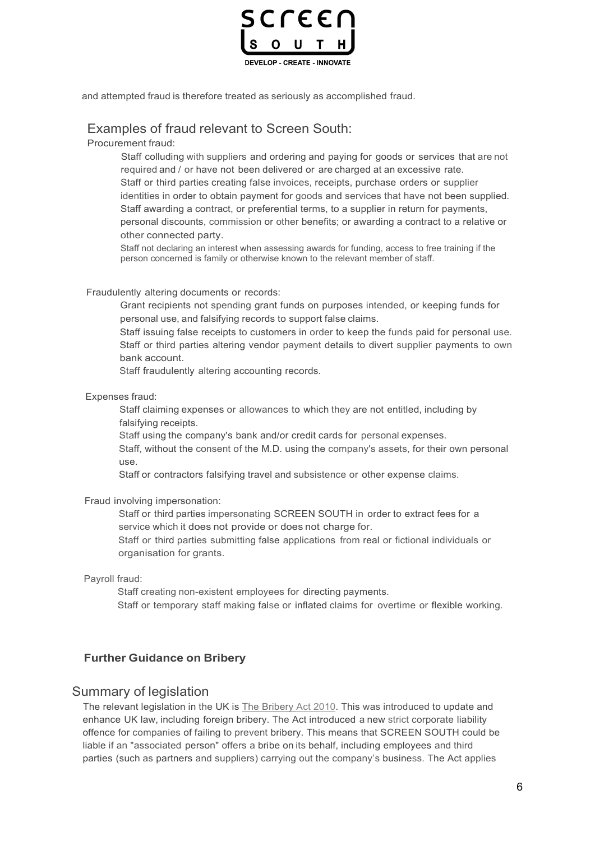

and attempted fraud is therefore treated as seriously as accomplished fraud.

# Examples of fraud relevant to Screen South:

Procurement fraud:

Staff colluding with suppliers and ordering and paying for goods or services that are not required and / or have not been delivered or are charged at an excessive rate. Staff or third parties creating false invoices, receipts, purchase orders or supplier identities in order to obtain payment for goods and services that have not been supplied. Staff awarding a contract, or preferential terms, to a supplier in return for payments, personal discounts, commission or other benefits; or awarding a contract to a relative or other connected party.

Staff not declaring an interest when assessing awards for funding, access to free training if the person concerned is family or otherwise known to the relevant member of staff.

Fraudulently altering documents or records:

Grant recipients not spending grant funds on purposes intended, or keeping funds for personal use, and falsifying records to support false claims.

Staff issuing false receipts to customers in order to keep the funds paid for personal use. Staff or third parties altering vendor payment details to divert supplier payments to own bank account.

Staff fraudulently altering accounting records.

Expenses fraud:

Staff claiming expenses or allowances to which they are not entitled, including by falsifying receipts.

Staff using the company's bank and/or credit cards for personal expenses.

Staff, without the consent of the M.D. using the company's assets, for their own personal use.

Staff or contractors falsifying travel and subsistence or other expense claims.

Fraud involving impersonation:

Staff or third parties impersonating SCREEN SOUTH in order to extract fees for a service which it does not provide or does not charge for.

Staff or third parties submitting false applications from real or fictional individuals or organisation for grants.

Payroll fraud:

Staff creating non-existent employees for directing payments. Staff or temporary staff making false or inflated claims for overtime or flexible working.

### **Further Guidance on Bribery**

#### Summary of legislation

The relevant legislation in the UK is The Bribery Act 2010. This was introduced to update and enhance UK law, including foreign bribery. The Act introduced a new strict corporate liability offence for companies of failing to prevent bribery. This means that SCREEN SOUTH could be liable if an "associated person" offers a bribe on its behalf, including employees and third parties (such as partners and suppliers) carrying out the company's business. The Act applies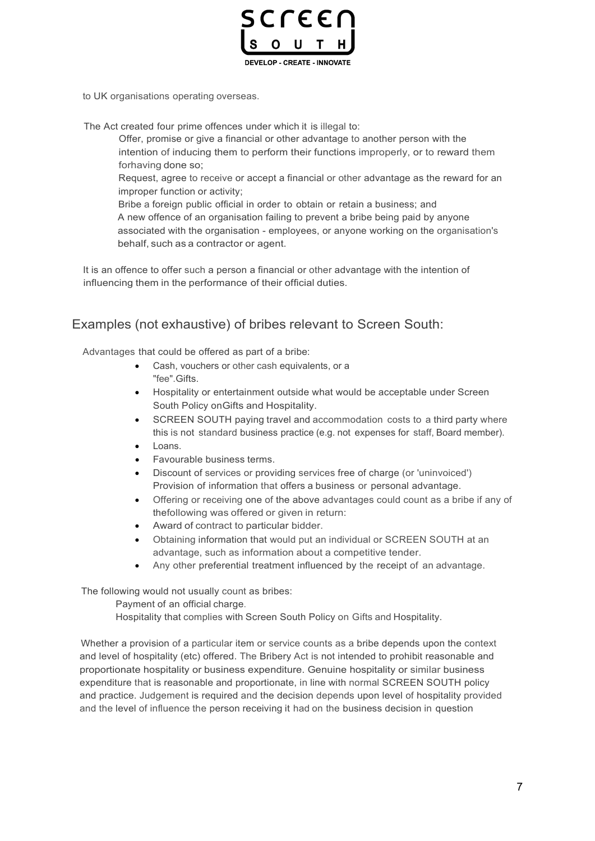

to UK organisations operating overseas.

The Act created four prime offences under which it is illegal to:

Offer, promise or give a financial or other advantage to another person with the intention of inducing them to perform their functions improperly, or to reward them forhaving done so;

Request, agree to receive or accept a financial or other advantage as the reward for an improper function or activity;

Bribe a foreign public official in order to obtain or retain a business; and A new offence of an organisation failing to prevent a bribe being paid by anyone associated with the organisation - employees, or anyone working on the organisation's behalf, such as a contractor or agent.

It is an offence to offer such a person a financial or other advantage with the intention of influencing them in the performance of their official duties.

# Examples (not exhaustive) of bribes relevant to Screen South:

Advantages that could be offered as part of a bribe:

- Cash, vouchers or other cash equivalents, or a "fee".Gifts.
- Hospitality or entertainment outside what would be acceptable under Screen South Policy onGifts and Hospitality.
- SCREEN SOUTH paying travel and accommodation costs to a third party where this is not standard business practice (e.g. not expenses for staff, Board member).
- Loans.
- Favourable business terms.
- Discount of services or providing services free of charge (or 'uninvoiced') Provision of information that offers a business or personal advantage.
- Offering or receiving one of the above advantages could count as a bribe if any of thefollowing was offered or given in return:
- Award of contract to particular bidder.
- Obtaining information that would put an individual or SCREEN SOUTH at an advantage, such as information about a competitive tender.
- Any other preferential treatment influenced by the receipt of an advantage.

The following would not usually count as bribes:

Payment of an official charge.

Hospitality that complies with Screen South Policy on Gifts and Hospitality.

Whether a provision of a particular item or service counts as a bribe depends upon the context and level of hospitality (etc) offered. The Bribery Act is not intended to prohibit reasonable and proportionate hospitality or business expenditure. Genuine hospitality or similar business expenditure that is reasonable and proportionate, in line with normal SCREEN SOUTH policy and practice. Judgement is required and the decision depends upon level of hospitality provided and the level of influence the person receiving it had on the business decision in question